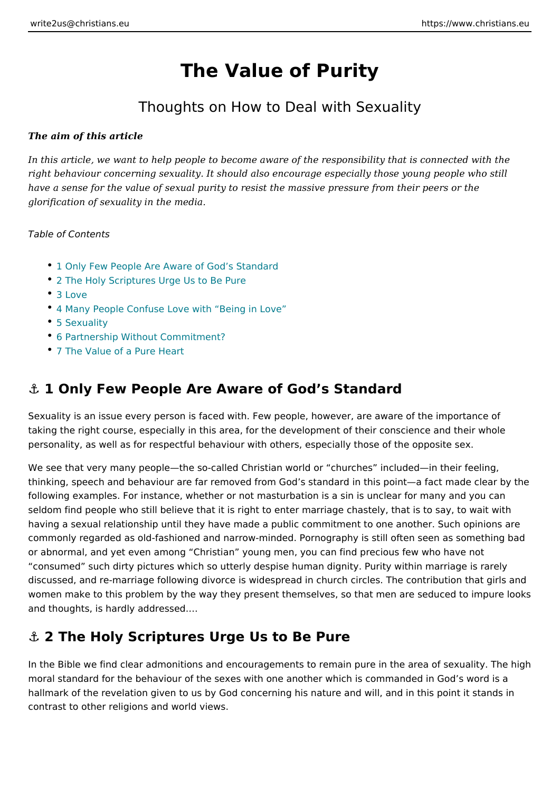# The Value of Purity

#### Thoughts on How to Deal with Sexuality

The aim of this article

In this article, we want to help people to become aware of the responsibility tha right behaviour concerning sexuality. It should also encourage especially those have a sense for the value of sexual purity to resist the massive pressure from t glorification of sexuality in the media.

Table of Contents

- 1 Only Few People Are Aware of God s Standard
- 2 The Holy Scriptures Urge Us to Be Pure
- [3 Lo](#page-1-0)ve
- [4 Many People Confuse Love with](#page-2-0) Being in Love
- [5 Sexua](#page-3-0)lity
- [6 Partnership Without Com](#page-3-0)mitment?
- [7 The Value of a Pu](#page-4-0)re Heart

#### &" 1 Only Few People Are Aware of God s Standard

Sexuality is an issue every person is faced with. Few people, however, are awar taking the right course, especially in this area, for the development of their con personality, as well as for respectful behaviour with others, especially those of

We see that very many people the so-called Christian world or churches includ thinking, speech and behaviour are far removed from God s standard in this poin following examples. For instance, whether or not masturbation is a sin is unclea seldom find people who still believe that it is right to enter marriage chastely, t having a sexual relationship until they have made a public commitment to one an commonly regarded as old-fashioned and narrow-minded. Pornography is still oft or abnormal, and yet even among Christian young men, you can find precious few consumed such dirty pictures which so utterly despise human dignity. Purity wi discussed, and re-marriage following divorce is widespread in church circles. Th women make to this problem by the way they present themselves, so that men ar and thoughts, is hardly addressed. &

#### &" 2 The Holy Scriptures Urge Us to Be Pure

In the Bible we find clear admonitions and encouragements to remain pure in the moral standard for the behaviour of the sexes with one another which is comman hallmark of the revelation given to us by God concerning his nature and will, and contrast to other religions and world views.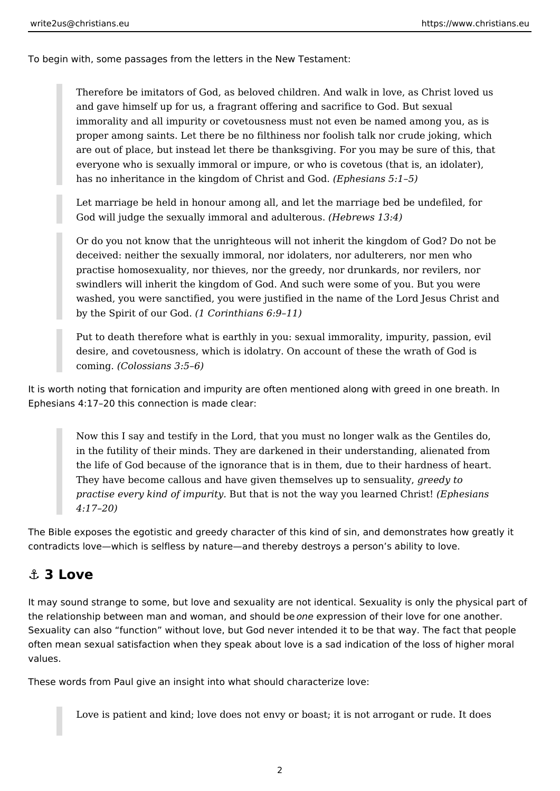<span id="page-1-0"></span>To begin with, some passages from the letters in the New Testament:

Therefore be imitators of God, as beloved children. And walk in love, as Christ loved us and gave himself up for us, a fragrant offering and sacrifice to God. But sexual immorality and all impurity or covetousness must not even be named among you, as is proper among saints. Let there be no filthiness nor foolish talk nor crude joking, which are out of place, but instead let there be thanksgiving. For you may be sure of this, that everyone who is sexually immoral or impure, or who is covetous (that is, an idolater), has no inheritance in the kingdom of Christ and God. *(Ephesians 5:1–5)*

Let marriage be held in honour among all, and let the marriage bed be undefiled, for God will judge the sexually immoral and adulterous. *(Hebrews 13:4)*

Or do you not know that the unrighteous will not inherit the kingdom of God? Do not be deceived: neither the sexually immoral, nor idolaters, nor adulterers, nor men who practise homosexuality, nor thieves, nor the greedy, nor drunkards, nor revilers, nor swindlers will inherit the kingdom of God. And such were some of you. But you were washed, you were sanctified, you were justified in the name of the Lord Jesus Christ and by the Spirit of our God. *(1 Corinthians 6:9–11)*

Put to death therefore what is earthly in you: sexual immorality, impurity, passion, evil desire, and covetousness, which is idolatry. On account of these the wrath of God is coming. *(Colossians 3:5–6)*

It is worth noting that fornication and impurity are often mentioned along with greed in one breath. In Ephesians 4:17–20 this connection is made clear:

Now this I say and testify in the Lord, that you must no longer walk as the Gentiles do, in the futility of their minds. They are darkened in their understanding, alienated from the life of God because of the ignorance that is in them, due to their hardness of heart. They have become callous and have given themselves up to sensuality, *greedy to practise every kind of impurity.* But that is not the way you learned Christ! *(Ephesians 4:17–20)*

The Bible exposes the egotistic and greedy character of this kind of sin, and demonstrates how greatly it contradicts love—which is selfless by nature—and thereby destroys a person's ability to love.

### **⚓ 3 Love**

It may sound strange to some, but love and sexuality are not identical. Sexuality is only the physical part of the relationship between man and woman, and should be *one* expression of their love for one another. Sexuality can also "function" without love, but God never intended it to be that way. The fact that people often mean sexual satisfaction when they speak about love is a sad indication of the loss of higher moral values.

These words from Paul give an insight into what should characterize love:

Love is patient and kind; love does not envy or boast; it is not arrogant or rude. It does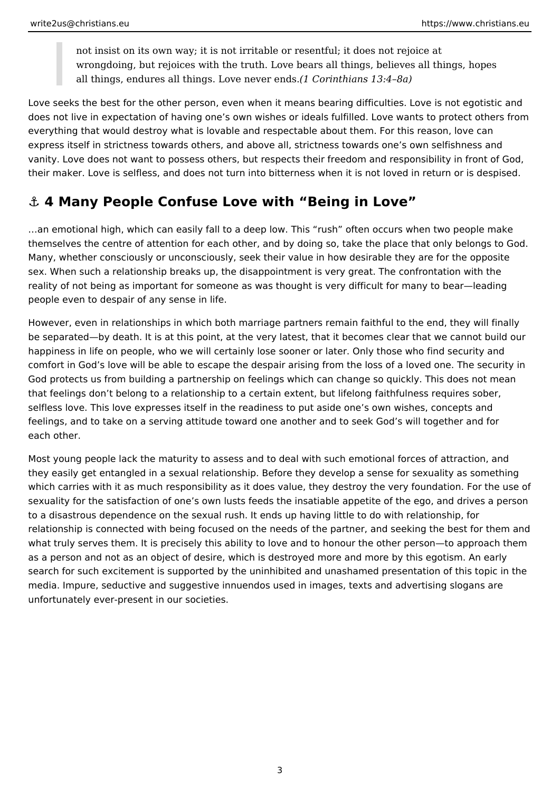<span id="page-2-0"></span>not insist on its own way; it is not irritable or resentful; it does not rejoice at wrongdoing, but rejoices with the truth. Love bears all things, believes all things, hopes all things, endures all things. Love never ends.*(1 Corinthians 13:4–8a)*

Love seeks the best for the other person, even when it means bearing difficulties. Love is not egotistic and does not live in expectation of having one's own wishes or ideals fulfilled. Love wants to protect others from everything that would destroy what is lovable and respectable about them. For this reason, love can express itself in strictness towards others, and above all, strictness towards one's own selfishness and vanity. Love does not want to possess others, but respects their freedom and responsibility in front of God, their maker. Love is selfless, and does not turn into bitterness when it is not loved in return or is despised.

# **⚓ 4 Many People Confuse Love with "Being in Love"**

…an emotional high, which can easily fall to a deep low. This "rush" often occurs when two people make themselves the centre of attention for each other, and by doing so, take the place that only belongs to God. Many, whether consciously or unconsciously, seek their value in how desirable they are for the opposite sex. When such a relationship breaks up, the disappointment is very great. The confrontation with the reality of not being as important for someone as was thought is very difficult for many to bear—leading people even to despair of any sense in life.

However, even in relationships in which both marriage partners remain faithful to the end, they will finally be separated—by death. It is at this point, at the very latest, that it becomes clear that we cannot build our happiness in life on people, who we will certainly lose sooner or later. Only those who find security and comfort in God's love will be able to escape the despair arising from the loss of a loved one. The security in God protects us from building a partnership on feelings which can change so quickly. This does not mean that feelings don't belong to a relationship to a certain extent, but lifelong faithfulness requires sober, selfless love. This love expresses itself in the readiness to put aside one's own wishes, concepts and feelings, and to take on a serving attitude toward one another and to seek God's will together and for each other.

Most young people lack the maturity to assess and to deal with such emotional forces of attraction, and they easily get entangled in a sexual relationship. Before they develop a sense for sexuality as something which carries with it as much responsibility as it does value, they destroy the very foundation. For the use of sexuality for the satisfaction of one's own lusts feeds the insatiable appetite of the ego, and drives a person to a disastrous dependence on the sexual rush. It ends up having little to do with relationship, for relationship is connected with being focused on the needs of the partner, and seeking the best for them and what truly serves them. It is precisely this ability to love and to honour the other person—to approach them as a person and not as an object of desire, which is destroyed more and more by this egotism. An early search for such excitement is supported by the uninhibited and unashamed presentation of this topic in the media. Impure, seductive and suggestive innuendos used in images, texts and advertising slogans are unfortunately ever-present in our societies.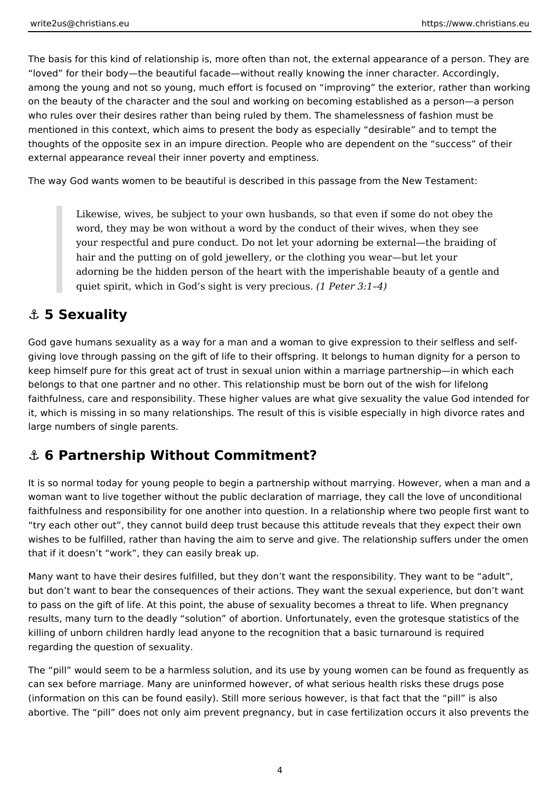<span id="page-3-0"></span>The basis for this kind of relationship is, more often than not, the external appearance of a person. They are "loved" for their body—the beautiful facade—without really knowing the inner character. Accordingly, among the young and not so young, much effort is focused on "improving" the exterior, rather than working on the beauty of the character and the soul and working on becoming established as a person—a person who rules over their desires rather than being ruled by them. The shamelessness of fashion must be mentioned in this context, which aims to present the body as especially "desirable" and to tempt the thoughts of the opposite sex in an impure direction. People who are dependent on the "success" of their external appearance reveal their inner poverty and emptiness.

The way God wants women to be beautiful is described in this passage from the New Testament:

Likewise, wives, be subject to your own husbands, so that even if some do not obey the word, they may be won without a word by the conduct of their wives, when they see your respectful and pure conduct. Do not let your adorning be external—the braiding of hair and the putting on of gold jewellery, or the clothing you wear—but let your adorning be the hidden person of the heart with the imperishable beauty of a gentle and quiet spirit, which in God's sight is very precious. *(1 Peter 3:1–4)*

### **⚓ 5 Sexuality**

God gave humans sexuality as a way for a man and a woman to give expression to their selfless and selfgiving love through passing on the gift of life to their offspring. It belongs to human dignity for a person to keep himself pure for this great act of trust in sexual union within a marriage partnership—in which each belongs to that one partner and no other. This relationship must be born out of the wish for lifelong faithfulness, care and responsibility. These higher values are what give sexuality the value God intended for it, which is missing in so many relationships. The result of this is visible especially in high divorce rates and large numbers of single parents.

### **⚓ 6 Partnership Without Commitment?**

It is so normal today for young people to begin a partnership without marrying. However, when a man and a woman want to live together without the public declaration of marriage, they call the love of unconditional faithfulness and responsibility for one another into question. In a relationship where two people first want to "try each other out", they cannot build deep trust because this attitude reveals that they expect their own wishes to be fulfilled, rather than having the aim to serve and give. The relationship suffers under the omen that if it doesn't "work", they can easily break up.

Many want to have their desires fulfilled, but they don't want the responsibility. They want to be "adult", but don't want to bear the consequences of their actions. They want the sexual experience, but don't want to pass on the gift of life. At this point, the abuse of sexuality becomes a threat to life. When pregnancy results, many turn to the deadly "solution" of abortion. Unfortunately, even the grotesque statistics of the killing of unborn children hardly lead anyone to the recognition that a basic turnaround is required regarding the question of sexuality.

The "pill" would seem to be a harmless solution, and its use by young women can be found as frequently as can sex before marriage. Many are uninformed however, of what serious health risks these drugs pose (information on this can be found easily). Still more serious however, is that fact that the "pill" is also abortive. The "pill" does not only aim prevent pregnancy, but in case fertilization occurs it also prevents the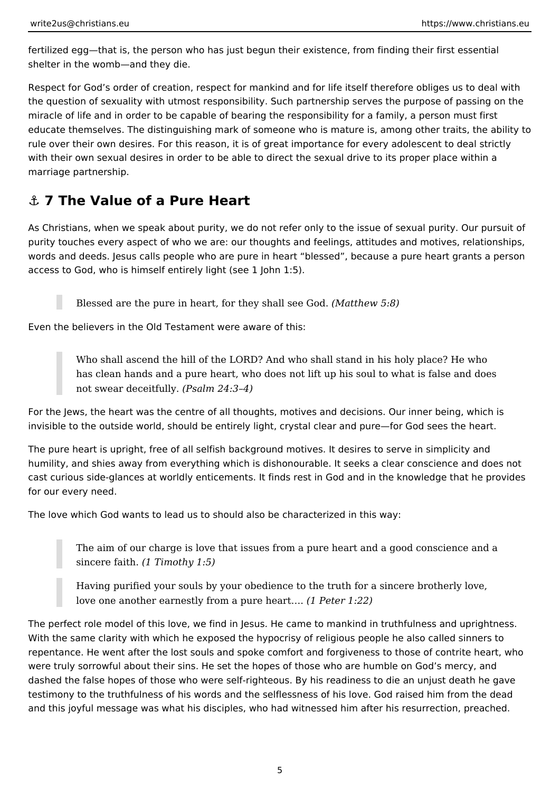<span id="page-4-0"></span>fertilized egg—that is, the person who has just begun their existence, from finding their first essential shelter in the womb—and they die.

Respect for God's order of creation, respect for mankind and for life itself therefore obliges us to deal with the question of sexuality with utmost responsibility. Such partnership serves the purpose of passing on the miracle of life and in order to be capable of bearing the responsibility for a family, a person must first educate themselves. The distinguishing mark of someone who is mature is, among other traits, the ability to rule over their own desires. For this reason, it is of great importance for every adolescent to deal strictly with their own sexual desires in order to be able to direct the sexual drive to its proper place within a marriage partnership.

## **⚓ 7 The Value of a Pure Heart**

As Christians, when we speak about purity, we do not refer only to the issue of sexual purity. Our pursuit of purity touches every aspect of who we are: our thoughts and feelings, attitudes and motives, relationships, words and deeds. Jesus calls people who are pure in heart "blessed", because a pure heart grants a person access to God, who is himself entirely light (see 1 John 1:5).

Blessed are the pure in heart, for they shall see God. *(Matthew 5:8)*

Even the believers in the Old Testament were aware of this:

Who shall ascend the hill of the LORD? And who shall stand in his holy place? He who has clean hands and a pure heart, who does not lift up his soul to what is false and does not swear deceitfully. *(Psalm 24:3–4)*

For the Jews, the heart was the centre of all thoughts, motives and decisions. Our inner being, which is invisible to the outside world, should be entirely light, crystal clear and pure—for God sees the heart.

The pure heart is upright, free of all selfish background motives. It desires to serve in simplicity and humility, and shies away from everything which is dishonourable. It seeks a clear conscience and does not cast curious side-glances at worldly enticements. It finds rest in God and in the knowledge that he provides for our every need.

The love which God wants to lead us to should also be characterized in this way:

The aim of our charge is love that issues from a pure heart and a good conscience and a sincere faith. *(1 Timothy 1:5)*

Having purified your souls by your obedience to the truth for a sincere brotherly love, love one another earnestly from a pure heart…. *(1 Peter 1:22)*

The perfect role model of this love, we find in Jesus. He came to mankind in truthfulness and uprightness. With the same clarity with which he exposed the hypocrisy of religious people he also called sinners to repentance. He went after the lost souls and spoke comfort and forgiveness to those of contrite heart, who were truly sorrowful about their sins. He set the hopes of those who are humble on God's mercy, and dashed the false hopes of those who were self-righteous. By his readiness to die an unjust death he gave testimony to the truthfulness of his words and the selflessness of his love. God raised him from the dead and this joyful message was what his disciples, who had witnessed him after his resurrection, preached.